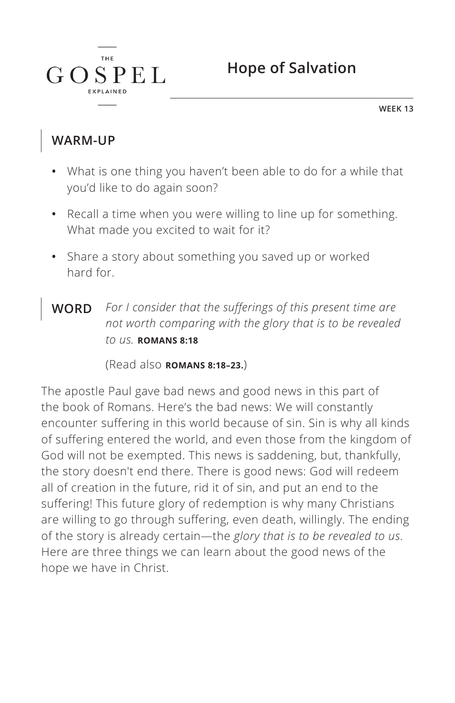

**WEEK 13**

### **WARM-UP**

 $G$ 

**THE** 

SPEL

- **•** What is one thing you haven't been able to do for a while that you'd like to do again soon?
- **•** Recall a time when you were willing to line up for something. What made you excited to wait for it?
- **•** Share a story about something you saved up or worked hard for.
- **WORD** *For I consider that the sufferings of this present time are not worth comparing with the glory that is to be revealed to us. ^***ROMANS 8:18**

(Read also **ROMANS 8:18-23.**)

The apostle Paul gave bad news and good news in this part of the book of Romans. Here's the bad news: We will constantly encounter suffering in this world because of sin. Sin is why all kinds of suffering entered the world, and even those from the kingdom of God will not be exempted. This news is saddening, but, thankfully, the story doesn't end there. There is good news: God will redeem all of creation in the future, rid it of sin, and put an end to the suffering! This future glory of redemption is why many Christians are willing to go through suffering, even death, willingly. The ending of the story is already certain—the *glory that is to be revealed to us*. Here are three things we can learn about the good news of the hope we have in Christ.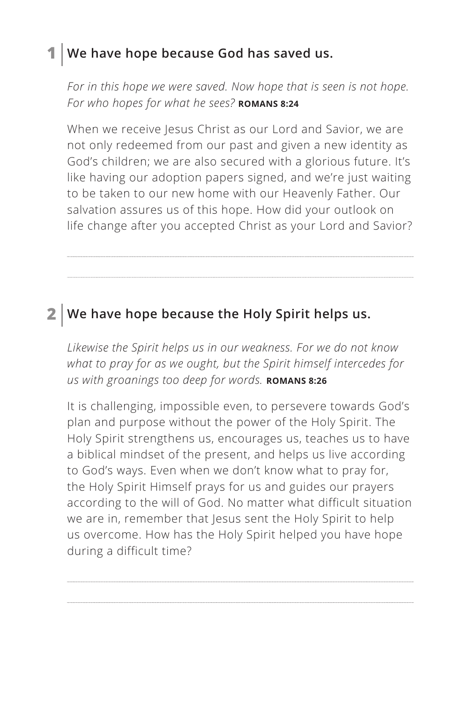### **1 We have hope because God has saved us.**

*For in this hope we were saved. Now hope that is seen is not hope.*  For who hopes for what he sees? **ROMANS 8:24** 

When we receive Jesus Christ as our Lord and Savior, we are not only redeemed from our past and given a new identity as God's children; we are also secured with a glorious future. It's like having our adoption papers signed, and we're just waiting to be taken to our new home with our Heavenly Father. Our salvation assures us of this hope. How did your outlook on life change after you accepted Christ as your Lord and Savior?

### **2 We have hope because the Holy Spirit helps us.**

*Likewise the Spirit helps us in our weakness. For we do not know what to pray for as we ought, but the Spirit himself intercedes for us with groanings too deep for words. ^***ROMANS 8:26**

It is challenging, impossible even, to persevere towards God's plan and purpose without the power of the Holy Spirit. The Holy Spirit strengthens us, encourages us, teaches us to have a biblical mindset of the present, and helps us live according to God's ways. Even when we don't know what to pray for, the Holy Spirit Himself prays for us and guides our prayers according to the will of God. No matter what difficult situation we are in, remember that Jesus sent the Holy Spirit to help us overcome. How has the Holy Spirit helped you have hope during a difficult time?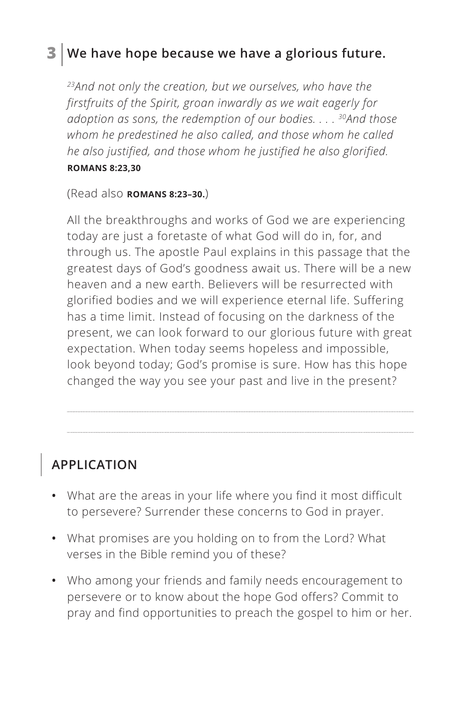## **3 We have hope because we have a glorious future.**

*23And not only the creation, but we ourselves, who have the firstfruits of the Spirit, groan inwardly as we wait eagerly for adoption as sons, the redemption of our bodies. . . . 30And those whom he predestined he also called, and those whom he called he also justified, and those whom he justified he also glorified.* 

#### *^***ROMANS 8:23,30**

(Read also **ROMANS 8:23–30.**)

All the breakthroughs and works of God we are experiencing today are just a foretaste of what God will do in, for, and through us. The apostle Paul explains in this passage that the greatest days of God's goodness await us. There will be a new heaven and a new earth. Believers will be resurrected with glorified bodies and we will experience eternal life. Suffering has a time limit. Instead of focusing on the darkness of the present, we can look forward to our glorious future with great expectation. When today seems hopeless and impossible, look beyond today; God's promise is sure. How has this hope changed the way you see your past and live in the present?

# **APPLICATION**

- **•** What are the areas in your life where you find it most difficult to persevere? Surrender these concerns to God in prayer.
- **•** What promises are you holding on to from the Lord? What verses in the Bible remind you of these?
- **•** Who among your friends and family needs encouragement to persevere or to know about the hope God offers? Commit to pray and find opportunities to preach the gospel to him or her.